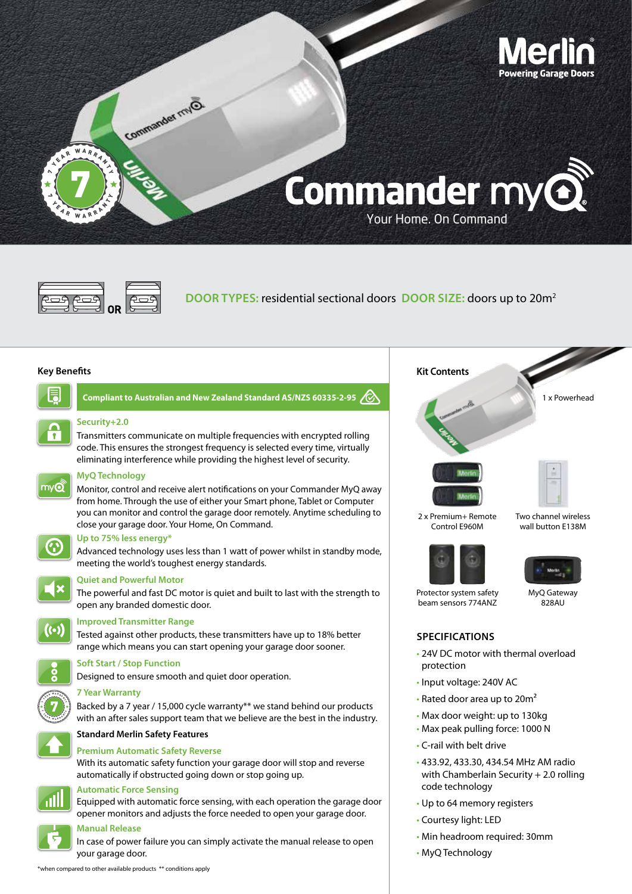



**DOOR TYPES:** residential sectional doors **DOOR SIZE:** doors up to 20m2

#### **Key Benefits**

**Security+2.0**



**Compliant to Australian and New Zealand Standard AS/NZS 60335-2-95** 

# **Security+2.0**

Transmitters communicate on multiple frequencies with encrypted rolling code. This ensures the strongest frequency is selected every time, virtually eliminating interference while providing the highest level of security.



# **MyQ Technology**

Monitor, control and receive alert notifications on your Commander MyQ away from home. Through the use of either your Smart phone, Tablet or Computer you can monitor and control the garage door remotely. Anytime scheduling to close your garage door. Your Home, On Command.



#### **Up to 75% less energy\***

Advanced technology uses less than 1 watt of power whilst in standby mode, meeting the world's toughest energy standards.



#### **Quiet and Powerful Motor**

The powerful and fast DC motor is quiet and built to last with the strength to open any branded domestic door.



#### **Improved Transmitter Range**

Tested against other products, these transmitters have up to 18% better range which means you can start opening your garage door sooner.

#### **Soft Start / Stop Function**

Designed to ensure smooth and quiet door operation.

# **7 Year Warranty**

Backed by a 7 year / 15,000 cycle warranty\*\* we stand behind our products with an after sales support team that we believe are the best in the industry.



7 <sup>Y</sup> <sup>E</sup> <sup>A</sup> <sup>R</sup> <sup>W</sup> <sup>A</sup> <sup>R</sup> <sup>R</sup> <sup>A</sup> <sup>N</sup> <sup>T</sup> <sup>Y</sup>  $\mathcal{L}_{\mathcal{L}}$  , where  $\mathcal{L}_{\mathcal{L}}$ 

### **Standard Merlin Safety Features**

**Premium Automatic Safety Reverse** With its automatic safety function your garage door will stop and reverse automatically if obstructed going down or stop going up.



#### **Automatic Force Sensing**

Equipped with automatic force sensing, with each operation the garage door opener monitors and adjusts the force needed to open your garage door.

#### **Manual Release**

In case of power failure you can simply activate the manual release to open your garage door. **Security+2.0 Encrypted Code**

\*when compared to other available products \*\* conditions apply



Protector system safety beam sensors 774ANZ

MyO Gateway 828AU

# **SPECIFICATIONS**

- 24V DC motor with thermal overload protection
- Input voltage: 240V AC
- Rated door area up to 20m²
- Max door weight: up to 130kg
- Max peak pulling force: 1000 N
- C-rail with belt drive
- 433.92, 433.30, 434.54 MHz AM radio with Chamberlain Security + 2.0 rolling code technology
- Up to 64 memory registers
- Courtesy light: LED
- Min headroom required: 30mm
- MyQ Technology